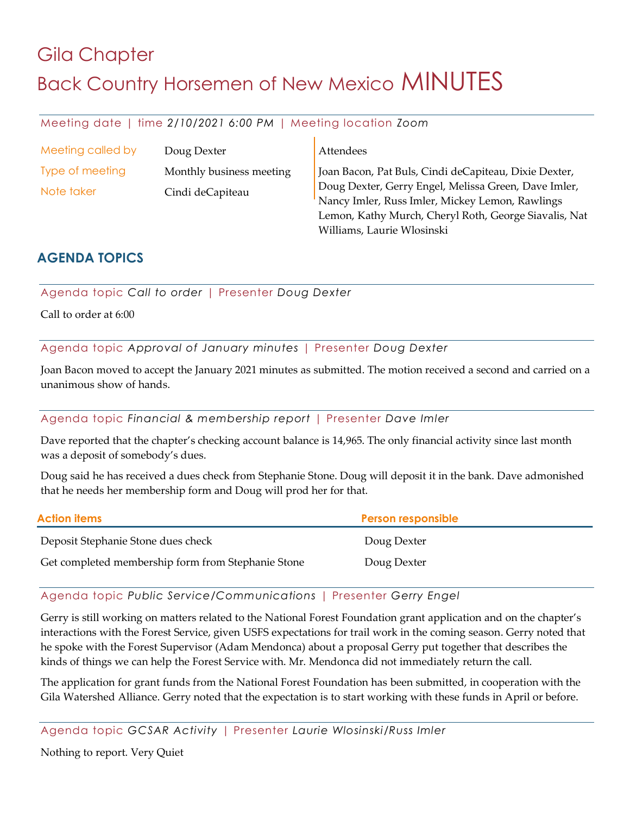# Gila Chapter **Back Country Horsemen of New Mexico MINUTES**

## Meeting date | time *2/10/2021 6:00 PM* | Meeting location *Zoom*

| Meeting called by | Doug Dexter              | Attendees                                             |
|-------------------|--------------------------|-------------------------------------------------------|
| Type of meeting   | Monthly business meeting | Joan Bacon, Pat Buls, Cindi deCapiteau, Dixie Dexter, |
| Note taker        | Cindi deCapiteau         | Doug Dexter, Gerry Engel, Melissa Green, Dave Imler,  |
|                   |                          | Nancy Imler, Russ Imler, Mickey Lemon, Rawlings       |
|                   |                          | Lemon, Kathy Murch, Cheryl Roth, George Siavalis, Nat |

Williams, Laurie Wlosinski

# **AGENDA TOPICS**

Agenda topic *Call to order* | Presenter *Doug Dexter*

Call to order at 6:00

Agenda topic *Approval of January minutes* | Presenter *Doug Dexter*

Joan Bacon moved to accept the January 2021 minutes as submitted. The motion received a second and carried on a unanimous show of hands.

#### Agenda topic *Financial & membership report* | Presenter *Dave Imler*

Dave reported that the chapter's checking account balance is 14,965. The only financial activity since last month was a deposit of somebody's dues.

Doug said he has received a dues check from Stephanie Stone. Doug will deposit it in the bank. Dave admonished that he needs her membership form and Doug will prod her for that.

| <b>Action items</b>                                | <b>Person responsible</b> |
|----------------------------------------------------|---------------------------|
| Deposit Stephanie Stone dues check                 | Doug Dexter               |
| Get completed membership form from Stephanie Stone | Doug Dexter               |

#### Agenda topic *Public Service/Communications* | Presenter *Gerry Engel*

Gerry is still working on matters related to the National Forest Foundation grant application and on the chapter's interactions with the Forest Service, given USFS expectations for trail work in the coming season. Gerry noted that he spoke with the Forest Supervisor (Adam Mendonca) about a proposal Gerry put together that describes the kinds of things we can help the Forest Service with. Mr. Mendonca did not immediately return the call.

The application for grant funds from the National Forest Foundation has been submitted, in cooperation with the Gila Watershed Alliance. Gerry noted that the expectation is to start working with these funds in April or before.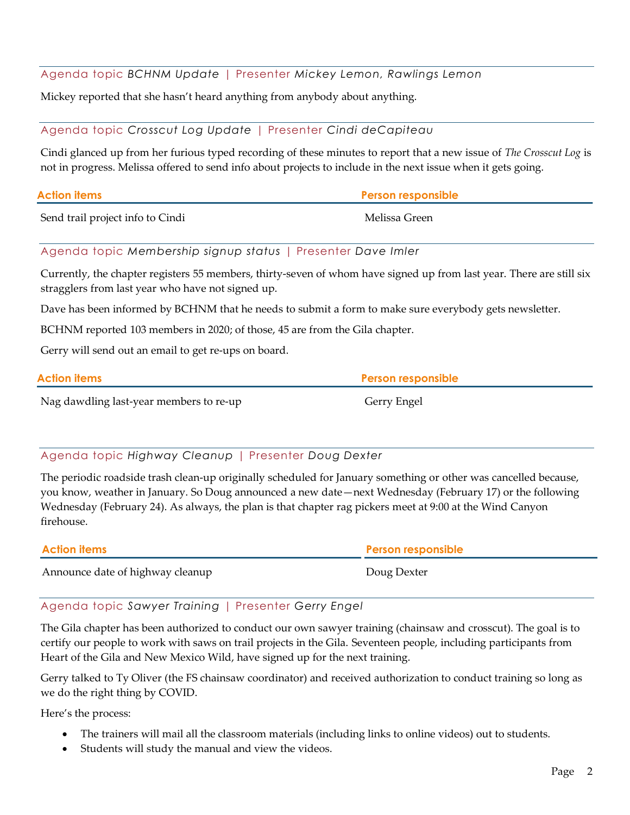## Agenda topic *BCHNM Update* | Presenter *Mickey Lemon, Rawlings Lemon*

Mickey reported that she hasn't heard anything from anybody about anything.

#### Agenda topic *Crosscut Log Update* | Presenter *Cindi deCapiteau*

Cindi glanced up from her furious typed recording of these minutes to report that a new issue of *The Crosscut Log* is not in progress. Melissa offered to send info about projects to include in the next issue when it gets going.

| <b>Action items</b>              | <b>Person responsible</b> |
|----------------------------------|---------------------------|
| Send trail project info to Cindi | Melissa Green             |

#### Agenda topic *Membership signup status* | Presenter *Dave Imler*

Currently, the chapter registers 55 members, thirty-seven of whom have signed up from last year. There are still six stragglers from last year who have not signed up.

Dave has been informed by BCHNM that he needs to submit a form to make sure everybody gets newsletter.

BCHNM reported 103 members in 2020; of those, 45 are from the Gila chapter.

Gerry will send out an email to get re-ups on board.

| <b>Action items</b>                     | <b>Person responsible</b> |
|-----------------------------------------|---------------------------|
| Nag dawdling last-year members to re-up | Gerry Engel               |

#### Agenda topic *Highway Cleanup* | Presenter *Doug Dexter*

The periodic roadside trash clean-up originally scheduled for January something or other was cancelled because, you know, weather in January. So Doug announced a new date—next Wednesday (February 17) or the following Wednesday (February 24). As always, the plan is that chapter rag pickers meet at 9:00 at the Wind Canyon firehouse.

| <b>Action items</b>              | <b>Person responsible</b> |
|----------------------------------|---------------------------|
| Announce date of highway cleanup | Doug Dexter               |

#### Agenda topic *Sawyer Training* | Presenter *Gerry Engel*

The Gila chapter has been authorized to conduct our own sawyer training (chainsaw and crosscut). The goal is to certify our people to work with saws on trail projects in the Gila. Seventeen people, including participants from Heart of the Gila and New Mexico Wild, have signed up for the next training.

Gerry talked to Ty Oliver (the FS chainsaw coordinator) and received authorization to conduct training so long as we do the right thing by COVID.

Here's the process:

- The trainers will mail all the classroom materials (including links to online videos) out to students.
- Students will study the manual and view the videos.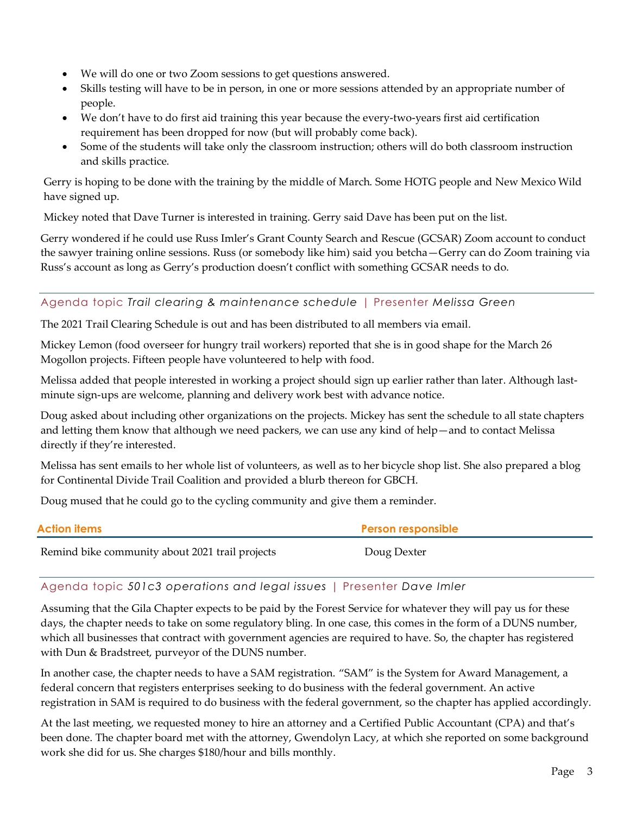- We will do one or two Zoom sessions to get questions answered.
- Skills testing will have to be in person, in one or more sessions attended by an appropriate number of people.
- We don't have to do first aid training this year because the every-two-years first aid certification requirement has been dropped for now (but will probably come back).
- Some of the students will take only the classroom instruction; others will do both classroom instruction and skills practice.

Gerry is hoping to be done with the training by the middle of March. Some HOTG people and New Mexico Wild have signed up.

Mickey noted that Dave Turner is interested in training. Gerry said Dave has been put on the list.

Gerry wondered if he could use Russ Imler's Grant County Search and Rescue (GCSAR) Zoom account to conduct the sawyer training online sessions. Russ (or somebody like him) said you betcha—Gerry can do Zoom training via Russ's account as long as Gerry's production doesn't conflict with something GCSAR needs to do.

#### Agenda topic *Trail clearing & maintenance schedule* | Presenter *Melissa Green*

The 2021 Trail Clearing Schedule is out and has been distributed to all members via email.

Mickey Lemon (food overseer for hungry trail workers) reported that she is in good shape for the March 26 Mogollon projects. Fifteen people have volunteered to help with food.

Melissa added that people interested in working a project should sign up earlier rather than later. Although lastminute sign-ups are welcome, planning and delivery work best with advance notice.

Doug asked about including other organizations on the projects. Mickey has sent the schedule to all state chapters and letting them know that although we need packers, we can use any kind of help—and to contact Melissa directly if they're interested.

Melissa has sent emails to her whole list of volunteers, as well as to her bicycle shop list. She also prepared a blog for Continental Divide Trail Coalition and provided a blurb thereon for GBCH.

Doug mused that he could go to the cycling community and give them a reminder.

| <b>Action items</b>                             | <b>Person responsible</b> |
|-------------------------------------------------|---------------------------|
| Remind bike community about 2021 trail projects | Doug Dexter               |

# Agenda topic *501c3 operations and legal issues* | Presenter *Dave Imler*

Assuming that the Gila Chapter expects to be paid by the Forest Service for whatever they will pay us for these days, the chapter needs to take on some regulatory bling. In one case, this comes in the form of a DUNS number, which all businesses that contract with government agencies are required to have. So, the chapter has registered with Dun & Bradstreet, purveyor of the DUNS number.

In another case, the chapter needs to have a SAM registration. "SAM" is the System for Award Management, a federal concern that registers enterprises seeking to do business with the federal government. An active registration in SAM is required to do business with the federal government, so the chapter has applied accordingly.

At the last meeting, we requested money to hire an attorney and a Certified Public Accountant (CPA) and that's been done. The chapter board met with the attorney, Gwendolyn Lacy, at which she reported on some background work she did for us. She charges \$180/hour and bills monthly.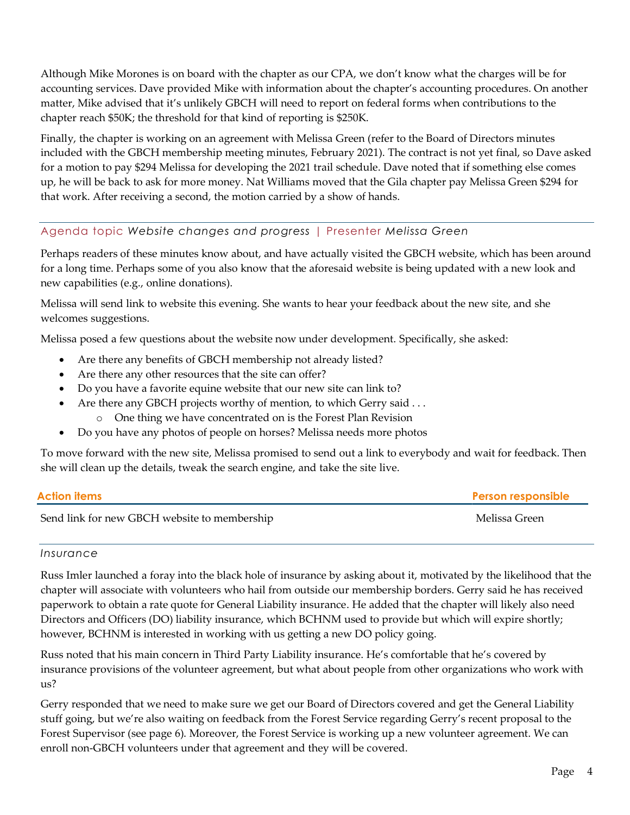Although Mike Morones is on board with the chapter as our CPA, we don't know what the charges will be for accounting services. Dave provided Mike with information about the chapter's accounting procedures. On another matter, Mike advised that it's unlikely GBCH will need to report on federal forms when contributions to the chapter reach \$50K; the threshold for that kind of reporting is \$250K.

Finally, the chapter is working on an agreement with Melissa Green (refer to the Board of Directors minutes included with the GBCH membership meeting minutes, February 2021). The contract is not yet final, so Dave asked for a motion to pay \$294 Melissa for developing the 2021 trail schedule. Dave noted that if something else comes up, he will be back to ask for more money. Nat Williams moved that the Gila chapter pay Melissa Green \$294 for that work. After receiving a second, the motion carried by a show of hands.

## Agenda topic *Website changes and progress* | Presenter *Melissa Green*

Perhaps readers of these minutes know about, and have actually visited the GBCH website, which has been around for a long time. Perhaps some of you also know that the aforesaid website is being updated with a new look and new capabilities (e.g., online donations).

Melissa will send link to website this evening. She wants to hear your feedback about the new site, and she welcomes suggestions.

Melissa posed a few questions about the website now under development. Specifically, she asked:

- Are there any benefits of GBCH membership not already listed?
- Are there any other resources that the site can offer?
- Do you have a favorite equine website that our new site can link to?
- Are there any GBCH projects worthy of mention, to which Gerry said ...
	- o One thing we have concentrated on is the Forest Plan Revision
- Do you have any photos of people on horses? Melissa needs more photos

To move forward with the new site, Melissa promised to send out a link to everybody and wait for feedback. Then she will clean up the details, tweak the search engine, and take the site live.

| <b>Action items</b>                          | <b>Person responsible</b> |
|----------------------------------------------|---------------------------|
| Send link for new GBCH website to membership | Melissa Green             |

#### *Insurance*

Russ Imler launched a foray into the black hole of insurance by asking about it, motivated by the likelihood that the chapter will associate with volunteers who hail from outside our membership borders. Gerry said he has received paperwork to obtain a rate quote for General Liability insurance. He added that the chapter will likely also need Directors and Officers (DO) liability insurance, which BCHNM used to provide but which will expire shortly; however, BCHNM is interested in working with us getting a new DO policy going.

Russ noted that his main concern in Third Party Liability insurance. He's comfortable that he's covered by insurance provisions of the volunteer agreement, but what about people from other organizations who work with us?

Gerry responded that we need to make sure we get our Board of Directors covered and get the General Liability stuff going, but we're also waiting on feedback from the Forest Service regarding Gerry's recent proposal to the Forest Supervisor (see page 6). Moreover, the Forest Service is working up a new volunteer agreement. We can enroll non-GBCH volunteers under that agreement and they will be covered.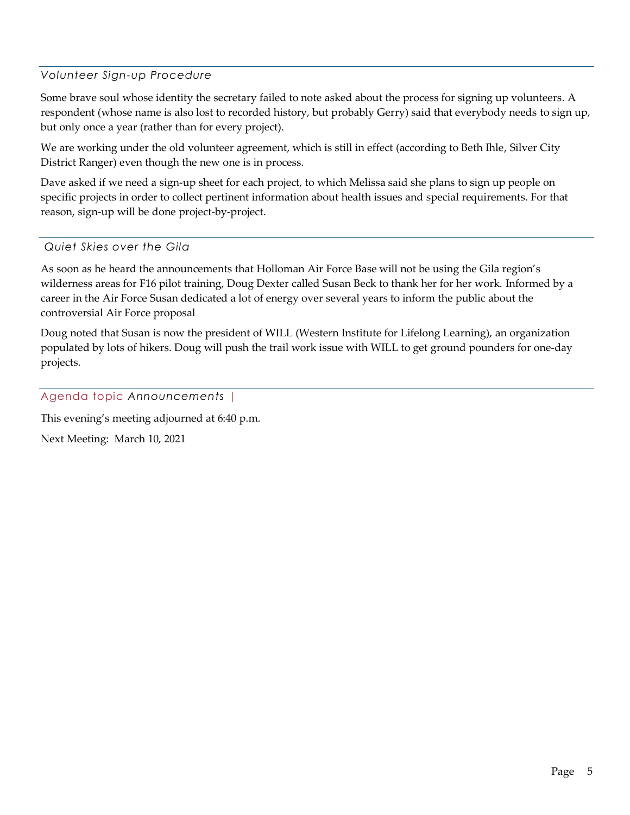#### *Volunteer Sign-up Procedure*

Some brave soul whose identity the secretary failed to note asked about the process for signing up volunteers. A respondent (whose name is also lost to recorded history, but probably Gerry) said that everybody needs to sign up, but only once a year (rather than for every project).

We are working under the old volunteer agreement, which is still in effect (according to Beth Ihle, Silver City District Ranger) even though the new one is in process.

Dave asked if we need a sign-up sheet for each project, to which Melissa said she plans to sign up people on specific projects in order to collect pertinent information about health issues and special requirements. For that reason, sign-up will be done project-by-project.

*Quiet Skies over the Gila*

As soon as he heard the announcements that Holloman Air Force Base will not be using the Gila region's wilderness areas for F16 pilot training, Doug Dexter called Susan Beck to thank her for her work. Informed by a career in the Air Force Susan dedicated a lot of energy over several years to inform the public about the controversial Air Force proposal

Doug noted that Susan is now the president of WILL (Western Institute for Lifelong Learning), an organization populated by lots of hikers. Doug will push the trail work issue with WILL to get ground pounders for one-day projects.

Agenda topic *Announcements* |

This evening's meeting adjourned at 6:40 p.m.

Next Meeting: March 10, 2021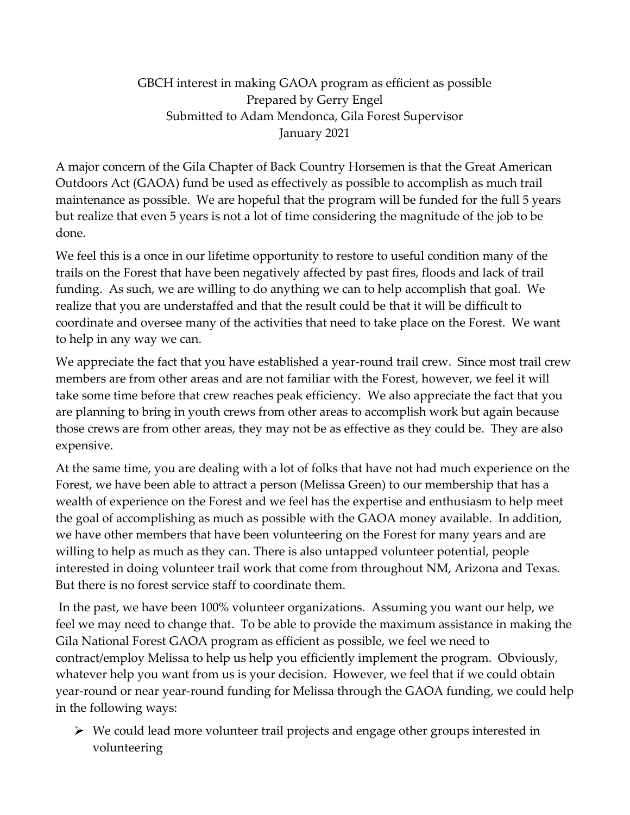# GBCH interest in making GAOA program as efficient as possible Prepared by Gerry Engel Submitted to Adam Mendonca, Gila Forest Supervisor January 2021

A major concern of the Gila Chapter of Back Country Horsemen is that the Great American Outdoors Act (GAOA) fund be used as effectively as possible to accomplish as much trail maintenance as possible. We are hopeful that the program will be funded for the full 5 years but realize that even 5 years is not a lot of time considering the magnitude of the job to be done.

We feel this is a once in our lifetime opportunity to restore to useful condition many of the trails on the Forest that have been negatively affected by past fires, floods and lack of trail funding. As such, we are willing to do anything we can to help accomplish that goal. We realize that you are understaffed and that the result could be that it will be difficult to coordinate and oversee many of the activities that need to take place on the Forest. We want to help in any way we can.

We appreciate the fact that you have established a year-round trail crew. Since most trail crew members are from other areas and are not familiar with the Forest, however, we feel it will take some time before that crew reaches peak efficiency. We also appreciate the fact that you are planning to bring in youth crews from other areas to accomplish work but again because those crews are from other areas, they may not be as effective as they could be. They are also expensive.

At the same time, you are dealing with a lot of folks that have not had much experience on the Forest, we have been able to attract a person (Melissa Green) to our membership that has a wealth of experience on the Forest and we feel has the expertise and enthusiasm to help meet the goal of accomplishing as much as possible with the GAOA money available. In addition, we have other members that have been volunteering on the Forest for many years and are willing to help as much as they can. There is also untapped volunteer potential, people interested in doing volunteer trail work that come from throughout NM, Arizona and Texas. But there is no forest service staff to coordinate them.

In the past, we have been 100% volunteer organizations. Assuming you want our help, we feel we may need to change that. To be able to provide the maximum assistance in making the Gila National Forest GAOA program as efficient as possible, we feel we need to contract/employ Melissa to help us help you efficiently implement the program. Obviously, whatever help you want from us is your decision. However, we feel that if we could obtain year-round or near year-round funding for Melissa through the GAOA funding, we could help in the following ways:

 $\triangleright$  We could lead more volunteer trail projects and engage other groups interested in volunteering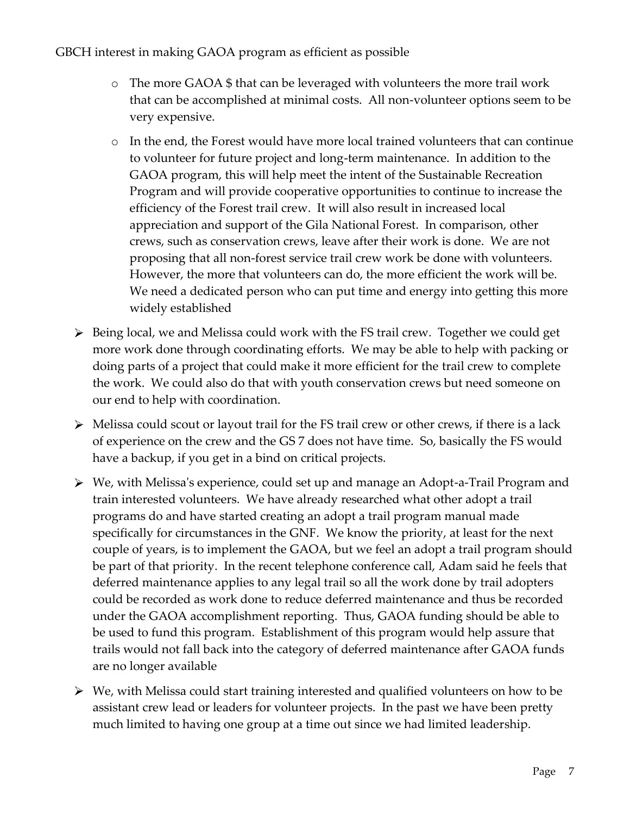- o The more GAOA \$ that can be leveraged with volunteers the more trail work that can be accomplished at minimal costs. All non-volunteer options seem to be very expensive.
- o In the end, the Forest would have more local trained volunteers that can continue to volunteer for future project and long-term maintenance. In addition to the GAOA program, this will help meet the intent of the Sustainable Recreation Program and will provide cooperative opportunities to continue to increase the efficiency of the Forest trail crew. It will also result in increased local appreciation and support of the Gila National Forest. In comparison, other crews, such as conservation crews, leave after their work is done. We are not proposing that all non-forest service trail crew work be done with volunteers. However, the more that volunteers can do, the more efficient the work will be. We need a dedicated person who can put time and energy into getting this more widely established
- Being local, we and Melissa could work with the FS trail crew. Together we could get more work done through coordinating efforts. We may be able to help with packing or doing parts of a project that could make it more efficient for the trail crew to complete the work. We could also do that with youth conservation crews but need someone on our end to help with coordination.
- $\triangleright$  Melissa could scout or layout trail for the FS trail crew or other crews, if there is a lack of experience on the crew and the GS 7 does not have time. So, basically the FS would have a backup, if you get in a bind on critical projects.
- We, with Melissa's experience, could set up and manage an Adopt-a-Trail Program and train interested volunteers. We have already researched what other adopt a trail programs do and have started creating an adopt a trail program manual made specifically for circumstances in the GNF. We know the priority, at least for the next couple of years, is to implement the GAOA, but we feel an adopt a trail program should be part of that priority. In the recent telephone conference call, Adam said he feels that deferred maintenance applies to any legal trail so all the work done by trail adopters could be recorded as work done to reduce deferred maintenance and thus be recorded under the GAOA accomplishment reporting. Thus, GAOA funding should be able to be used to fund this program. Establishment of this program would help assure that trails would not fall back into the category of deferred maintenance after GAOA funds are no longer available
- We, with Melissa could start training interested and qualified volunteers on how to be assistant crew lead or leaders for volunteer projects. In the past we have been pretty much limited to having one group at a time out since we had limited leadership.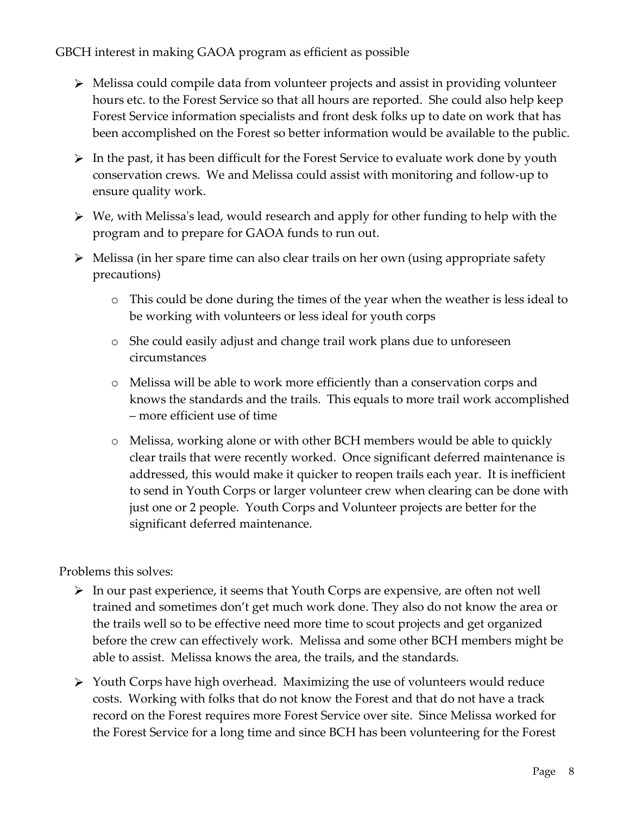- Melissa could compile data from volunteer projects and assist in providing volunteer hours etc. to the Forest Service so that all hours are reported. She could also help keep Forest Service information specialists and front desk folks up to date on work that has been accomplished on the Forest so better information would be available to the public.
- $\triangleright$  In the past, it has been difficult for the Forest Service to evaluate work done by youth conservation crews. We and Melissa could assist with monitoring and follow-up to ensure quality work.
- $\triangleright$  We, with Melissa's lead, would research and apply for other funding to help with the program and to prepare for GAOA funds to run out.
- Melissa (in her spare time can also clear trails on her own (using appropriate safety precautions)
	- o This could be done during the times of the year when the weather is less ideal to be working with volunteers or less ideal for youth corps
	- o She could easily adjust and change trail work plans due to unforeseen circumstances
	- o Melissa will be able to work more efficiently than a conservation corps and knows the standards and the trails. This equals to more trail work accomplished – more efficient use of time
	- o Melissa, working alone or with other BCH members would be able to quickly clear trails that were recently worked. Once significant deferred maintenance is addressed, this would make it quicker to reopen trails each year. It is inefficient to send in Youth Corps or larger volunteer crew when clearing can be done with just one or 2 people. Youth Corps and Volunteer projects are better for the significant deferred maintenance.

Problems this solves:

- $\triangleright$  In our past experience, it seems that Youth Corps are expensive, are often not well trained and sometimes don't get much work done. They also do not know the area or the trails well so to be effective need more time to scout projects and get organized before the crew can effectively work. Melissa and some other BCH members might be able to assist. Melissa knows the area, the trails, and the standards.
- $\triangleright$  Youth Corps have high overhead. Maximizing the use of volunteers would reduce costs. Working with folks that do not know the Forest and that do not have a track record on the Forest requires more Forest Service over site. Since Melissa worked for the Forest Service for a long time and since BCH has been volunteering for the Forest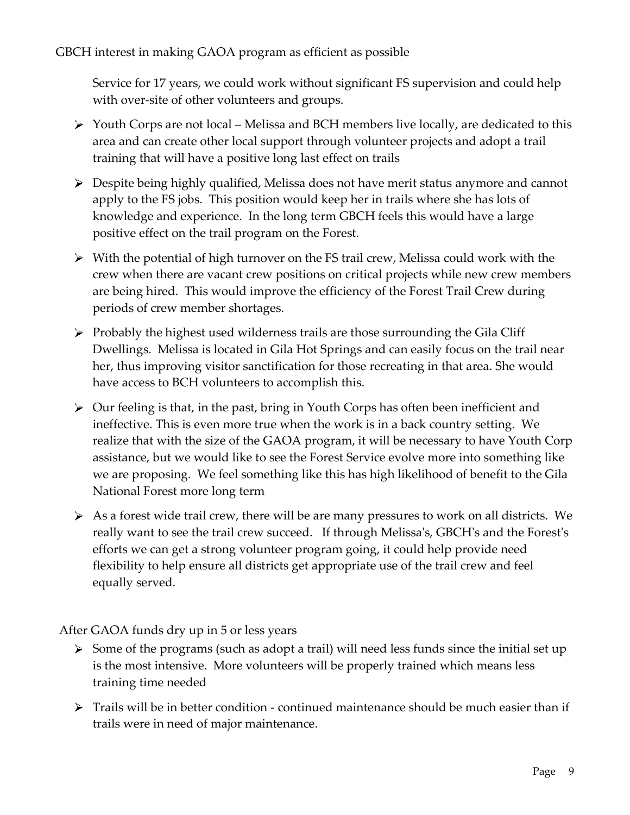Service for 17 years, we could work without significant FS supervision and could help with over-site of other volunteers and groups.

- $\triangleright$  Youth Corps are not local Melissa and BCH members live locally, are dedicated to this area and can create other local support through volunteer projects and adopt a trail training that will have a positive long last effect on trails
- Despite being highly qualified, Melissa does not have merit status anymore and cannot apply to the FS jobs. This position would keep her in trails where she has lots of knowledge and experience. In the long term GBCH feels this would have a large positive effect on the trail program on the Forest.
- With the potential of high turnover on the FS trail crew, Melissa could work with the crew when there are vacant crew positions on critical projects while new crew members are being hired. This would improve the efficiency of the Forest Trail Crew during periods of crew member shortages.
- $\triangleright$  Probably the highest used wilderness trails are those surrounding the Gila Cliff Dwellings. Melissa is located in Gila Hot Springs and can easily focus on the trail near her, thus improving visitor sanctification for those recreating in that area. She would have access to BCH volunteers to accomplish this.
- $\triangleright$  Our feeling is that, in the past, bring in Youth Corps has often been inefficient and ineffective. This is even more true when the work is in a back country setting. We realize that with the size of the GAOA program, it will be necessary to have Youth Corp assistance, but we would like to see the Forest Service evolve more into something like we are proposing. We feel something like this has high likelihood of benefit to the Gila National Forest more long term
- $\triangleright$  As a forest wide trail crew, there will be are many pressures to work on all districts. We really want to see the trail crew succeed. If through Melissa's, GBCH's and the Forest's efforts we can get a strong volunteer program going, it could help provide need flexibility to help ensure all districts get appropriate use of the trail crew and feel equally served.

After GAOA funds dry up in 5 or less years

- $\triangleright$  Some of the programs (such as adopt a trail) will need less funds since the initial set up is the most intensive. More volunteers will be properly trained which means less training time needed
- $\triangleright$  Trails will be in better condition continued maintenance should be much easier than if trails were in need of major maintenance.